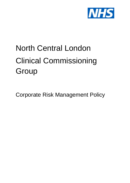

# North Central London Clinical Commissioning **Group**

Corporate Risk Management Policy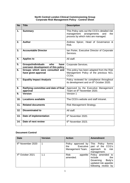## **North Central London Clinical Commissioning Group Corporate Risk Management Policy - Control Sheet**

| <b>No</b> | <b>Title</b>                                                                    | <b>Description</b>                                                                                                              |
|-----------|---------------------------------------------------------------------------------|---------------------------------------------------------------------------------------------------------------------------------|
| 1.        | <b>Summary</b>                                                                  | This Policy sets out the CCG's detailed risk<br>arrangements<br>management<br>and<br>the<br>process by which risks are managed. |
| 2.        | <b>Author</b>                                                                   | Andrew Spicer, Head of Governance &<br>Risk.                                                                                    |
| 3.        | <b>Accountable Director</b>                                                     | Ian Porter, Executive Director of Corporate<br>Services.                                                                        |
| 4.        | <b>Applies to</b>                                                               | All staff.                                                                                                                      |
| 5.        | who<br><b>Groups/individuals</b><br>have<br>overseen development of this policy | Corporate Services.                                                                                                             |
| 6.        | Groups which were consulted and<br>have given approval                          | This policy has been adapted from the Risk<br>Management Policy of the previous NCL<br>CCGs.                                    |
| 7.        | <b>Equality Impact Analysis</b>                                                 | Policy reviewed for compliance throughout<br>its development and on 8 <sup>th</sup> October 2020.                               |
| 8.        | Ratifying committee and date of final<br>approval                               | Approved by the Executive Management<br>Team on 6 <sup>th</sup> November 2020.                                                  |
| 9.        | <b>Version</b>                                                                  | Version 1                                                                                                                       |
| 10.       | <b>Locations available</b>                                                      | The CCG's website and staff intranet.                                                                                           |
| 11.       | <b>Related documents</b>                                                        | Risk Management Strategy.                                                                                                       |
| 12.       | <b>Disseminated to</b>                                                          | All staff.                                                                                                                      |
| 13.       | Date of implementation                                                          | 6 <sup>th</sup> November 2020.                                                                                                  |
| 14.       | Date of next review                                                             | 6th November 2023.                                                                                                              |

# **Document Control**

| <b>Date</b>                   | <b>Version</b> | <b>Action</b>                                              | <b>Amendment</b>                                                                                           |
|-------------------------------|----------------|------------------------------------------------------------|------------------------------------------------------------------------------------------------------------|
| 6 <sup>th</sup> November 2020 | 1              | Policy approved by<br>Executive<br>the<br>Management Team. | This Policy<br>forms<br>part of the CCG's<br>approach<br>risk<br>to<br>management.                         |
| 4 <sup>th</sup> October 2021  | 1.1            | <b>Risk</b><br>appetite<br>amended.                        | Policy amended to<br>include<br>the<br>Governing<br>Body's<br>updated risk appetite<br>following review by |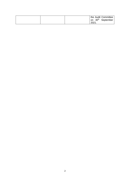|  |       | the Audit Committee<br>on 30 <sup>th</sup> September |
|--|-------|------------------------------------------------------|
|  | 2021. |                                                      |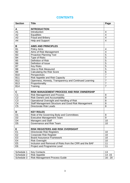# **CONTENTS**

| <b>Section</b>   | <b>Title</b>                                            | Page            |
|------------------|---------------------------------------------------------|-----------------|
|                  |                                                         |                 |
| A                | <b>INTRODUCTION</b>                                     |                 |
| A <sub>1</sub>   | Introduction                                            | $\overline{4}$  |
| A2               | <b>Equalities</b>                                       | $\overline{4}$  |
| A3               | <b>Fraud and Bribery</b>                                | $\overline{4}$  |
| A4               | Help and Support                                        | 4               |
|                  |                                                         |                 |
| В                | <b>AIMS AND PRINCIPLES</b>                              |                 |
| <b>B1</b>        | <b>Policy Aims</b>                                      | 4               |
| <b>B2</b>        | Aims of Risk Management                                 | $\overline{4}$  |
| B <sub>3</sub>   | <b>Proactive Planning Tool</b>                          | 5               |
| <b>B4</b>        | <b>Type of Risks</b>                                    | 5               |
| <b>B5</b>        | <b>Definition of Risk</b>                               | 5               |
| B <sub>6</sub>   | Definition of Issue                                     | 5               |
| <b>B7</b>        | <b>Key Risks</b>                                        | $\overline{5}$  |
| B <sub>8</sub>   | How is Risk Measured                                    | $\overline{5}$  |
| B <sub>9</sub>   | <b>Calculating the Risk Score</b>                       | $6\phantom{1}6$ |
| <b>B10</b>       | Perspectives                                            | $\overline{7}$  |
| <b>B11</b>       | Risk Appetite and Risk Capacity                         | $\overline{7}$  |
| <b>B12</b>       | Openness, Honesty, Transparency and Continued Learning  | $\overline{7}$  |
| <b>B13</b>       | Proportionality                                         | $\overline{7}$  |
| <b>B14</b>       | Training                                                | $\overline{7}$  |
|                  |                                                         |                 |
| C                | RISK MANAGEMENT PROCESS AND RISK OWNERSHIP              |                 |
| $\overline{C}$ 1 | <b>Risk Management and Process</b>                      | 8               |
| $\overline{C2}$  | <b>Risk Owners and Accountability</b>                   | 8               |
| $\overline{C3}$  | Operational Oversight and Handling of Risk              | 8               |
| C <sub>4</sub>   | Staff Management Structure and Good Risk Management     | 8               |
| C <sub>5</sub>   | <b>Directorate Risk Leads</b>                           | 8               |
|                  |                                                         |                 |
| D                | <b>KEY ROLES</b>                                        |                 |
| D <sub>1</sub>   | Role of the Governing Body and Committees               | 8               |
| D <sub>2</sub>   | <b>Executive Management Team</b>                        | 9               |
| D <sub>4</sub>   | Managers and Staff                                      | 10              |
| D <sub>5</sub>   | Governance and Risk Team                                | 10              |
|                  |                                                         |                 |
| E                | <b>RISK REGISTERS AND RISK OVERSIGHT</b>                |                 |
| E1               | Directorate Risk Registers                              | 10              |
| E2               | <b>Corporate Risk Register</b>                          | 10              |
| E <sub>3</sub>   | <b>Board Assurance Framework</b>                        | 10              |
| E <sub>4</sub>   | <b>Risk Oversight</b>                                   | 10              |
| E <sub>5</sub>   | Inclusion and Removal of Risks from the CRR and the BAF | 11              |
| E <sub>6</sub>   | Project and Programme Level                             | 11              |

| Schedule 1 | <b>Key Contacts</b>           | $\overline{12}$ |
|------------|-------------------------------|-----------------|
|            | Schedule 2   Risk Appetite    | 14 -15          |
| Schedule 3 | Risk Management Process Guide | 16 - 20         |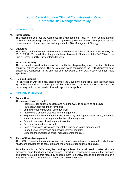# **North Central London Clinical Commissioning Group Corporate Risk Management Policy**

# **A. INTRODUCTION**

#### **A1. Introduction**

This document sets out the Corporate Risk Management Policy of North Central London Clinical Commissioning Group ('CCG'). It provides guidance on the policy, processes and procedures for risk management and supports the Risk Management Strategy.

#### **A2. Equalities**

This policy has been created and written in accordance with the provisions of the Equality Act 2010 ('EA 2010'). In addition, it supports the achievement of the aims of the EA 2010 and the Public Sector Equality Duty contained therein.

#### **A3. Fraud and Bribery**

This policy helps to reduce the risk of fraud and bribery by providing a robust system of internal control for risk management. This policy supports and compliments the CCG's Counter Fraud, Bribery and Corruption Policy and has been reviewed by the CCG's Local Counter Fraud Specialist.

#### **A4. Help and Support**

For any support with this policy please contact the Governance and Risk Team (see Schedule 1). Schedule 1 does not form part of this policy and may be amended or updated as necessary without the need to formally approve this policy.

#### **B. AIMS AND PRINICPLES**

#### **B1. Policy Aims**

The aims of this policy are to:

- Promote organisational success and help the CCG to achieve its objectives;
- Have organisational grip of key risks;
- **Empower staff to manage risks effectively;**
- Promote and support proactive risk management;
- Help create a culture that recognises uncertainty and supports considered, measured and appropriate risk taking and effective risk management;
- Support new ways of working and innovation;
- Provide clear quidance to staff;
- Have a consistent, visible and repeatable approach to risk management;
- Support good governance and provide internal controls;
- Evidence the importance of risk management to the CCG.

#### **B2. Aims of Risks Management**

The CCG is committed to commissioning high quality, cost-efficient, sustainable and effective healthcare services for its population and meeting its organisational objectives.

To achieve this the CCG recognises and appreciates that it will need to take risks in a measured, considered and appropriate way. Good risk management is a tool that supports and empowers staff in this regard by enabling them to identify, assess and control risks in a way that is visible, consistent and makes best use of resources.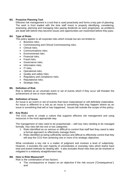# **B3. Proactive Planning Tool**

Effective risk management is a tool that is used proactively and forms a key part of planning. The work is front loaded with the time staff invest in properly identifying, considering, assessing, planning and managing risks paying dividends as work progresses, as problems are dealt with before they become issues and opportunities are maximised before they pass.

# **B4. Type of Risks**

This policy applies to all corporate risks which include but are not limited to:

- Business risks;
- Commissioning and Clinical Commissioning risks:
- Clinical risks:
- Communications risks:
- Environmental risks
- Financial risks:
- Fraud risks:
- Governance risks;
- Information risks:
- $\bullet$  IT risks:
- Operational risks;
- Quality and safety risks;
- Regulatory and compliance risks;
- Reputational risks:
- Strategic risks.

#### **B5. Definition of Risk**

Risk is defined as an uncertain event or set of events which if they occur will threaten the achievement of one or more objectives.

#### **B6. Definition of Issue**

An Issue is an event or set of events that have materialised or will definitely materialise. An issue is different to a risk as an issue is something that may happen where as an issue is something that will or has happened. Issues fall outside the scope of this policy.

#### **B7. Key Risks**

The CCG wants to create a culture that supports effective risk management and using resources in the most appropriate way.

The management of risks need to be proportionate – with key risks needing to be managed formally. Key risks fall into one or two categories:

- 1. Risks identified as so serious or difficult to control that staff feel they need to take a formal approach to effectively manage them;
- 2. Risks identified as being sufficiently serious and difficult to effectively control that they will stop the CCG from achieving one or more of its strategic objectives.

What constitutes a key risk is a matter of judgment and involves a level of subjectivity. However, it excludes the vast majority of uncertainties or everyday risks which teams have tried and tested methods for dealing with. It also excludes those risks that can be resolved or mitigated in a relatively straightforward way.

#### **B8. How is Risk Measured?**

Risk is the combination of two factors:

• The consequence or impact on an objective if the risk occurs ('Consequence'); and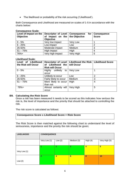The likelihood or probability of the risk occurring ('Likelihood').

Both Consequence and Likelihood are measured on scales of 1-5 in accordance with the charts below:

| Level of Impact on the<br>Objective | Descriptor of Level   Consequence<br>of Impact on the $ $ the Objective<br>Objective | for       | <b>Consequence</b><br><b>Score</b> |
|-------------------------------------|--------------------------------------------------------------------------------------|-----------|------------------------------------|
| $0 - 5%$                            | Very low impact                                                                      | Very Low  |                                    |
| $6 - 25%$                           | Low impact                                                                           | Low       | o                                  |
| 26-50%                              | Moderate impact                                                                      | Medium    |                                    |
| $51 - 75%$                          | High impact                                                                          | High      |                                    |
| $76%+$                              | Very high impact                                                                     | Very High | 5                                  |

#### **Consequence Scale:**

# **Likelihood Scale:**

| Level of Likelihood<br>the Risk will Occur | of Likelihood the<br><b>Risk will Occur</b> | Descriptor of Level   Likelihood the Risk   Likelihood Score<br>will Occur |   |
|--------------------------------------------|---------------------------------------------|----------------------------------------------------------------------------|---|
| $0 - 5%$                                   | Highly<br>unlikely<br>to<br>occur           | Very Low                                                                   |   |
| $6 - 25%$                                  | Unlikely to occur                           | Low                                                                        | 2 |
| 26-50%                                     | Fairly likely to occur                      | Medium                                                                     | 3 |
| $51 - 75%$                                 | More likely to occur<br>than not            | High                                                                       | 4 |
| 76%+                                       | Almost certainly will<br>occur              | Very High                                                                  | 5 |

#### **B9. Calculating the Risk Score**

Once a risk has been measured it needs to be scored as this indicates how serious the risk is, the level of importance and the priority that should be attached to controlling the risk.

The risk score is calculated as follows:

#### **Consequence Score x Likelihood Score = Risk Score**

The Risk Score is then matched against the following chart to understand the level of seriousness, importance and the priority the risk should be given:

| <b>LIKELIHOOD</b> | <b>CONSEQUENCE</b> |                |            |            |               |
|-------------------|--------------------|----------------|------------|------------|---------------|
|                   | Very Low (1)       | Low $(2)$      | Medium (3) | High $(4)$ | Very High (5) |
|                   |                    | $\overline{2}$ | 3          | 4          | 5             |
| Very Low (1)      |                    |                |            |            |               |
|                   | $\overline{2}$     | 4              | 6          | 8          | 10            |
| Low $(2)$         |                    |                |            |            |               |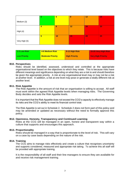|               | 3 | 6  | 9         | 12 | 15 |
|---------------|---|----|-----------|----|----|
| Medium (3)    |   |    |           |    |    |
|               | 4 | 8  | 12        | 16 | 20 |
| High $(4)$    |   |    |           |    |    |
|               | 5 | 10 | <b>T5</b> | 20 | 25 |
| Very High (5) |   |    |           |    |    |

| 1-3 Low Risk | 4-6 Medium Risk          | 8-12 High Risk       | 15-25 Very High Risk      |
|--------------|--------------------------|----------------------|---------------------------|
| Low Priority | <b>Moderate Priority</b> | <b>High Priority</b> | <b>Very High Priority</b> |

#### **B10. Perspectives**

Risks should be identified, assessed, understood and controlled at the appropriate organisational level based on the objectives to which they relate. This is because risks have different meanings and significance depending on what they are a risk to and should therefore be given the appropriate priority. A risk at one organisational level may or may not be a risk at another level. In addition, a risk at one level may pose or generate a totally different risk at another level.

#### **B11. Risk Appetite**

The Risk Appetite is the amount of risk that an organisation is willing to accept. All staff must work within the agreed Risk Appetite levels when managing risks. The Governing Body decides and sets the Risk Appetite levels.

It is important that the Risk Appetite does not exceed the CCG's capacity to effectively manage its risks and the CCG's ability to meet its financial control total.

The Risk Appetite is set out in Schedule 2. Schedule 2 does not form part of this policy and may be amended or updated as necessary without the need to formally approve this policy.

#### **B12. Openness, Honesty, Transparency and Continued Learning**

Risks at the CCG will be managed in an open, honest and transparent way within a culture that supports and encourages this approach.

#### **B13. Proportionality**

Risks should be managed in a way that is proportionate to the level of risk. This will vary on a case by case basis depending on the nature of the risk.

#### **B14. Training**

The CCG aims to manage risks effectively and create a culture that recognises uncertainty and supports considered, measured and appropriate risk taking. To achieve this all staff will be provided with appropriate training.

It is the responsibility of all staff and their line managers to ensure they are available for and receive risk management training.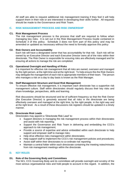All staff are able to request additional risk management training if they feel it will help support them in their role or are interested in developing their skills further. All requests should be made to the Governance and Risk Team.

# **C. RISK MANAGEMENT PROCESS AND RISK OWNERSHIP**

#### **C1. Risk Management Process**

The risk management process is the process that staff are required to follow when managing key risks. It is set out in the Risk Management Process Guide contained in Schedule 3 of this policy. Schedule 3 does not form part of this policy and may be amended or updated as necessary without the need to formally approve this policy

#### **C2. Risk Owners and Accountability**

Each risk will have a designated owner that has accountability for that risk. Each risk will be owned by an Executive Director and each Executive Director owns all of the risks within their directorate. The Risk Owner is responsible for ensuring risks are effectively managed and for ensuring all actions to manage the risk are completed.

#### **C3. Operational Oversight and Handling of Risks**

It is important for effective risk management that all risks are owned, overseen and managed by the right person, at the right time and at the right level. To help ensure this the Risk Owners may delegate the management of each risk to appropriate members of their team. The person who manages a risk on a day to day basis is known as the Risk Manager.

#### **C4. Staff Management Structure and Good Risk Management**

To ensure effective risk management, it is important each directorate has a supportive risk management culture. Staff within directorates should regularly discuss their key risks and share knowledge, perspectives, skills and learning.

Risk discussions should be structured and be of sufficient frequency so that the Risk Owner (the Executive Director) is genuinely assured that all risks in the directorate are being effectively overseen and managed at the right time, by the right people, in the right way and at the right level. As a result of these discussions risk registers should be updated in a timely manner.

#### **C5. Directorate Risk Leads**

Directorates may appoint a 'Directorate Risk Lead' to:

- Support directors in managing the risk management process within their directorates and assist with risk reporting;
- Support the Governance and Risk Team in delivering and embedding the CCG's approach to risk management;
- Provide a source of expertise and advice embedded within each directorate to help support and empower staff to manage risks;
- Help drive effective risks management within directorates:
- Help support staff to implement the CCG's risk management policies and procedures;
- Assist staff within their directorates to co-ordinate risk reporting;
- Maintain a central folder within each directorate containing the meeting notes/minutes from risk management meetings within the directorate.

# **D. KEY ROLES**

#### **D1. Role of the Governing Body and Committees**

The NCL CCG Governing Body and its committees will provide oversight and scrutiny of the most serious organisational risks and hold people to account in this regard. In addition, the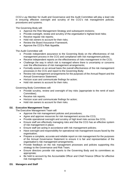CCG's Lay Member for Audit and Governance and the Audit Committee will play a lead role in ensuring effective oversight and scrutiny of the CCG's risk management policies, procedures and systems.

The Governing Body will:

- Approve the Risk Management Strategy and subsequent revisions;
- Provide oversight, review and scrutiny of the organisation's highest level risks;
- Receive regular risk reports;
- Hold risk owners to account for their risks:
- Review the Board Assurance Framework;
- Approve the CCG's Risk Appetite.

The Audit Committee will:

- Provide independent assurance to the Governing Body on the effectiveness of risk management process in the CCG and compliance with risk management policies;
- Receive independent reports on the effectiveness of risks management in the CCG;
- Challenge the way in which risk is managed where there is uncertainty or concerns over the effectiveness of risk management arrangements;
- Formally assess on an annual basis the overall effectiveness of the risk management processes in the CCG and report to the Governing Body;
- Review risk management arrangements for the purposes of the Annual Report and the Annual Governance Statement;
- Horizon scan and communicate findings for action;
- Hold risk owners to account for their risks.

Governing Body Committees will:

- Provide scrutiny, review and oversight of key risks (appropriate to the remit of each Committee);
- Receive risk reports;
- Horizon scan and communicate findings for action;
- Hold risk owners to account for their risks.

# **D2. Executive Management Team**

The Executive Management Team will:

- Approve the risk management policies and procedures;
- Agree and approve resources for risk management across the CCG;
- Provide operational oversight and scrutiny of high level risks across the CCG;
- Ensure staff are effectively managing risks and that the CCG has an effective system of risk management in place;
- Ensure staff are acting in accordance with risk management policies;
- Have oversight and responsibility for operational risk management issues faced by the organisation:
- Prepare a complete, accurate and reliable report on risk management for the purposes of the Annual Governance Statement to ensure it is fair and representative of the organisation's risk management arrangements;
- Provide feedback on the risk management processes and policies supporting this strategy to the Governance and Risk Team;
- Ensure directors provide risk reports to the Governing Body and its committees as appropriate;
- Be held to account by the Accountable Officer and Chief Finance Officer for effective risk management.

#### **D3. Managers and Staff**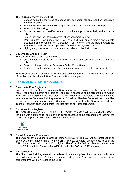The CCG's managers and staff will:

- Manage risk within their area of responsibility as appropriate and report on these risks to the Risk Owner;
- Support the Risk Owner in the management of their risks and writing risk reports;
- Work within this policy:
- Ensure the teams and staff under their control manage risk effectively and follow this policy;
- Ensure they and their teams receive risk management training;
- Work with the Governance and Risk Team and help ensure timely and smooth production of risk reports, the Corporate Risk Register and the Board Assurance Framework - and the smooth operation of the risk management system;
- Highlight any problems or concerns with any risk with the Risk Owner.

# **D4. Governance and Risk Team**

The Governance and Risk Team provides:

- Central oversight of the risk management process and system in the CCG and this policy;
- Prepare risk reports for the Governing Body / Committees;
- Training for staff and Governing Body members in relation to risk management.

The Governance and Risk Team is not accountable or responsible for the actual management of the risks and this sits with Risk Owners and Risk Managers.

# **E RISK REGISTERS AND RISK OVERSIGHT**

#### **E1. Directorate Risk Registers**

Each directorate shall have a Directorate Risk Register which contain all of the key directorate risks. Risks with a current risk score of 8 and above assessed at the corporate level will be included in the Corporate Risk Register. The Directorate Risk Registers shall use the same template as the Corporate Risk Register as per E2 below. The risks from the Directorate Risk Registers with a current risk score of 8 and above will be sent to the Governance and Risk Team for inclusion on the Corporate Risk Register as per local agreement.

#### **E2. Corporate Risk Register**

The CCG will have a Corporate Risk Register ('CRR'). The CRR will contain all of the CCG's key risks with a current risk score of 8 or higher assessed at the corporate level against the CCG's strategic objectives. The CRR template is below:



#### **E3. Board Assurance Framework**

The CCG will have a Board Assurance Framework ('BAF'). The BAF will be comprised of all of the CCG's key strategic risks from the CRR. The key strategic risks are those risks on the CRR with a current risk score of 15 or higher. Therefore, the BAF template will be the same as the CRR template. Please refer to E2 above for the BAF and CRR template.

#### **E4. Risk Oversight**

The Directorate Risk Registers will be reviewed by the appropriate director on a monthly basis or as otherwise required. Risks with a current risk score of 8 and above assessed at the corporate level will be included in the CRR.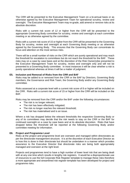The CRR will be presented to the Executive Management Team on a bi-annual basis or as otherwise agreed by the Executive Management Team for operational scrutiny, review and oversight. The Executive Management Team may re-grade, add amend or remove risks at its absolute discretion.

Risks with a current risk score of 12 or higher from the CRR will be presented to the appropriate Governing Body committee for scrutiny, review and oversight at each committee meeting or as otherwise agreed by the committee.

Risks with a current risk score of 15 or higher from the CRR will be presented to the Governing Body for scrutiny, review and oversight at each Governing Body meeting or as otherwise agreed by the Governing Body. This ensures that the Governing Body can concentrate its focus and attention on the most serious risks.

There will be a small number of risks on the CRR which are purely operational and may reach the threshold for escalation to committees but do not reach the threshold for the BAF. These risks may on a case by case basis and at the discretion of the Risk Owner(s)be presented to the Executive Management Team for scrutiny, review and oversight only and will not be presented to a Governing Body committee. In most instances it will be clear whether a risk is purely operational whereas at times it will be a matter of judgment.

#### **E5. Inclusion and Removal of Risks from the CRR and BAF**

Risks may be added to or removed from the CRR or the BAF by Directors, Governing Body members, the Governance and Risk Team, the Governing Body and/or any Governing Body committee.

Risks assessed at a corporate level with a current risk score of 8 or higher will be included on the CRR. Risks with a current risk score of 15 or higher from the CRR will be included on the BAF.

Risks may be removed from the CRR and/or the BAF under the following circumstances:

- The risk is no longer relevant;
- The risk has been effectively mitigated;
- The risk no longer reaches the relevant threshold;
- The risk has materialised and is an issue.

Where a risk has dropped below the relevant thresholds the respective Governing Body or any of its committees may decide that the risk needs to stay on the CRR or the BAF for continued oversight on a case by case basis and at its absolute discretion. Risks that have dropped below the threshold will be reported at the following Governing Body and/or committee meeting for information.

#### **E6. Project and Programme Level**

Risks at the project and programme level are overseen and managed within directorates as per the directorate management structure. It is at the discretion of each Executive Director as to how this is done in their directorate but should be undertaken in a manner which provides assurance to the Executive Director that directorate risks are being both appropriately managed and overseen at the right level.

Projects and programmes tend to have a high number of lower level risk that are being dealt with at any one time which results in lengthy risk registers. It would be a disproportionate use of resources to use the full Corporate Risk Register template to manage these risks therefore a more appropriate and streamlined risk register template has been developed for project and programme risks.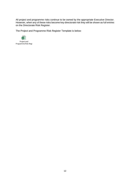All project and programme risks continue to be owned by the appropriate Executive Director. However, when any of these risks become key directorate risk they will be shown as full entries on the Directorate Risk Register.

The Project and Programme Risk Register Template is below:

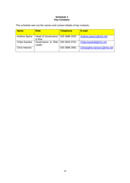# **Schedule 1 Key Contacts**

This schedule sets out the names and contact details of key contacts.

| <b>Name</b>          | <b>Role</b>                                  | <b>Telephone</b> | E-mail                      |
|----------------------|----------------------------------------------|------------------|-----------------------------|
| <b>Andrew Spicer</b> | Head of Governance   020 3688 2032<br>& Risk |                  | Andrew.spicer1@nhs.net      |
| Chipo Kazoka         | Governance & Risk   020 3816 3701<br>Leads   |                  | Chipo.kazoka6@nhs.net       |
| Chris Hanson         |                                              | 020 3688 2681    | Christopher.hanson1@nhs.net |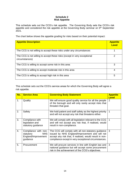# **Schedule 2 Risk Appetite**

This schedule sets out the CCG's risk appetite. The Governing Body sets the CCG's risk appetite and considered the risk appetite at the Governing Body seminar on 9th September 2021.

The chart below shows the appetite grading for risks based on their potential impact:

| <b>Appetite Description</b>                                                                | <b>Appetite</b><br><b>Level</b> |
|--------------------------------------------------------------------------------------------|---------------------------------|
| The CCG is not willing to accept these risks under any circumstances                       |                                 |
| The CCG is not willing to accept these risks (except in very exceptional<br>circumstances) |                                 |
| The CCG is willing to accept some risk in this area                                        | 3                               |
| The CCG is willing to accept moderate risk in this area                                    | 4                               |
| The CCG is willing to accept high risk in this area                                        | 5                               |

This schedule sets out the CCG's service areas for which the Governing Body will agree a risk appetite.

| No. | <b>Service Area</b>                                                                | <b>Governing Body Statement</b>                                                                                                                                                                                          | <b>Appetite</b><br><b>Level</b> |
|-----|------------------------------------------------------------------------------------|--------------------------------------------------------------------------------------------------------------------------------------------------------------------------------------------------------------------------|---------------------------------|
| 1.  | Quality                                                                            | We will ensure good quality service for all the people<br>of the borough and will only rarely accept risks that<br>threaten that goal.                                                                                   | $\mathcal{P}$                   |
| 2.  | Safety                                                                             | We hold patient and staff safety as the highest priority<br>and will not accept any risk that threatens either.                                                                                                          | $\overline{1}$                  |
| 3.  | Compliance with<br>legislation and<br>statutory guidance                           | We will comply with all legislation relevant to the CCG<br>and will not accept any risk that, if realised, would<br>result in non-compliance.                                                                            | -1                              |
| 4.  | Compliance with non-<br><b>NHS</b><br>statutory<br>England/Improvement<br>guidance | The CCG will comply with all non-statutory guidance<br>issued by NHS England/Improvement and will not<br>accept any risk that, if realised, would result in non-<br>compliance except in very exceptional circumstances. | 3                               |
| 5.  | Procurement                                                                        | We will procure services in line with English law and<br>national guidance but will accept some procurement<br>risk in the achievement of the CCG's objectives.                                                          | 3                               |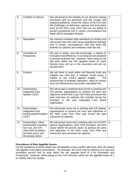| 6.  | Conflicts of Interest                                                                                                                    | We will preserve the integrity of our decision-making<br>processes and our decisions and will comply with<br>statutory guidance. Given the nature of the CCG and<br>the challenges of delivering national and local plans<br>such as the NHS Long Term Plan we are willing to<br>accept exceptional risk in certain circumstances but<br>these will be managed robustly. | 2 |
|-----|------------------------------------------------------------------------------------------------------------------------------------------|--------------------------------------------------------------------------------------------------------------------------------------------------------------------------------------------------------------------------------------------------------------------------------------------------------------------------------------------------------------------------|---|
| 7.  | Reputation                                                                                                                               | We intend to maintain high standards of conduct and<br>will accept risks that may cause reputational damage<br>only in certain circumstances, and only when the<br>benefits for patients and residents merit the risk.                                                                                                                                                   | 3 |
| 8.  | Innovation &<br>Productivity                                                                                                             | We aim to foster, and will encourage, a culture of<br>innovation and efficiency; in so doing we are prepared<br>to accept moderate risk. However, when doing so we<br>will work within the risk appetite levels for each<br>Service Area set out in this document and will not<br>exceed them.                                                                           | 4 |
| 9.  | Finance                                                                                                                                  | We will strive to work within set financial limits and<br>mitigate any risks that, if realised, would cause a<br>breach to the CCG's agreed budget.<br>The<br>achievement of strategic objectives, value for money<br>and cost effectiveness can justify calculated risk.                                                                                                | 3 |
| 10. | Partnerships-<br><b>Integrated Care</b><br>System ('ICS')                                                                                | We will accept a moderate level of risk in working with<br>ICS partner organisations to achieve the aims and<br>objectives of the NHS Long Term Plan and ensure the<br>best outcomes for patients this includes during the<br>transition to the new Integrated Care Board<br>organisation.                                                                               | 4 |
| 11. | Partnerships-<br><b>Integrated Care</b><br>Partnerships/Providers<br>('ICP')                                                             | We will accept some risk in working with ICP partner<br>organisations to achieve the aims and objectives of<br>the NHS Long Term Plan and ensure the best<br>outcomes for patients.                                                                                                                                                                                      | 4 |
| 12. | Partnerships-Other<br>partnerships including<br>non ICS, non ICP,<br>other NHS providers,<br>the third sector and<br>the private sector. | We will accept some risk in working with non ICS/ICP<br>partner organisations, other NHS providers, the third<br>sector and/or the private sector to achieve the aims<br>and objectives of the NHS Long Term Plan and<br>ensure the best outcomes for patients.                                                                                                          | 3 |

# **Precedence of Risk Appetite Scores**

For the avoidance of doubt where two risk appetite scores conflict with each other the lowest risk appetite score takes precedence. For example, the CCG may be working on a new and innovative service and so work within the risk appetite level of 4 for Innovation and Productivity. However, whilst doing so the CCG will work within the risk appetite levels of 1 for Safety and 2 for Quality.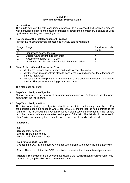#### **Schedule 3 Risk Management Process Guide**

## **1. Introduction**

This guide sets out the risk management process. It is a standard and replicable process which provides guidance and ensures consistency across the organisation. It should be used by all staff when they are managing risks.

## **2. Key Stages of the Risk Management Process**

An effective risk management process has four key stages which are:

| <b>Stage</b><br><b>No</b> | <b>Stage</b>                                           | Section of this<br>guide |
|---------------------------|--------------------------------------------------------|--------------------------|
|                           | Identify and assess the risk                           |                          |
| 2.                        | Decide future actions and plan them                    |                          |
| 3.                        | Assess the strength of THE plan                        | 5                        |
| -4.                       | Implement the plan and keep the risk plan under review | 6                        |

# **3. Stage 1: Identify and Assess the Risk**

- Identify the risk and how it impacts on the delivery of objectives;
- Identify measures currently in place to control the risk and consider the effectiveness of these measures;
- Assess the risk and give it an Initial Risk Score to provide an indication of its level of priority. This provides a starting point to work from.

This stage has six steps:

- 3.1 Step One: Identify the Objective All risks are a risk to the delivery of an organisational objective. At this step, identify which objective(s) the risk impacts.
- 3.2 Step Two: Identify the Risk

The risk to achieving the objective should be identified and clearly described. Key stakeholders should be engaged where appropriate to ensure that the risk identified is the right risk. The risk should be given a risk title to make it easy to quickly identify the risk and described in terms of the cause, effect and impact of the risk. The risk should be written in plain English and in a way that a member of the public would easily understand.

# **Example 1:**

**Title**

**Cause:** If [A] happens **Effect:** There is a risk of [B] **Impact:** Which may result in [C].

#### **Failure to Engage Patients**

**Cause**: If the CCG fails to effectively engage with patients when commissioning a service;

**Effect**: There is a risk that the CCG commissions a service that does not meet patient need;

**Impact**: This may result in the service not delivering the required health improvements, loss of reputation, legal challenge and wasted resources.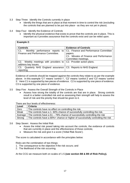- 3.3 Step Three: Identify the Controls currently in place
	- Identify the things that are in place at that moment in time to control the risk (excluding the controls that are planned to be put into place - as they are not yet in place).
- 3.4 Step Four: Identify the Evidence of Controls
	- Identify the physical evidence that exists to prove that the controls are in place. This is important as it provides assurance that the controls exist and can be relied upon.

| <b>Example 2:</b>                                                  |                                                                        |  |
|--------------------------------------------------------------------|------------------------------------------------------------------------|--|
| <b>Controls</b>                                                    | <b>Evidence of Controls</b>                                            |  |
| C1.                                                                | Monthly performance reports to   C1. Finance and Performance Committee |  |
| Finance and Performance Committee.                                 | papers.                                                                |  |
|                                                                    | C1. Minutes of Finance and Performance                                 |  |
|                                                                    | Committee meetings.                                                    |  |
| C2. Weekly meetings with providers to   C2. Provider action plans. |                                                                        |  |
| address key issues.                                                |                                                                        |  |
| C3. Quarterly NHS England assurance                                | C3. Reports to NHS England.                                            |  |
| reporting.                                                         |                                                                        |  |

Evidence of controls should be mapped against the controls they relate to as per the example above. In this example 'C1' means 'control 1', 'C2' means 'control 2' and 'C3' means 'control 3.' Here C1 is supported by two pieces of evidence. C2 is supported by one piece of evidence. C3 is supported by one piece of evidence.

- 3.5 Step Five: Assess the Overall Strength of the Controls in Place
	- Assess how strong the totality of the controls are that are in place. Strong controls result in a better controlled risk and so assessing their strength will help to assess the level of risk and the priority that should be given to it.

There are four levels of effectiveness:

| Level   | <b>Criteria</b>                                                                |
|---------|--------------------------------------------------------------------------------|
| Zero    | The controls have no effect on controlling the risk.                           |
| Weak    | The controls have a 1-60% chance of successfully controlling the risk.         |
| Average | The controls have a $61 - 79\%$ chance of successfully controlling the risk    |
| Strong  | The controls have a 80%+ chance or higher of successfully controlling the risk |

- 3.6 Step Seven: Assess the Initial Risk
	- Asses the initial risk posed taking into account the controls, the evidence of controls that are currently in place and the effectiveness of those controls;
	- Measure the risk and give it a score ('Initial Risk Score').

The score is calculated in accordance with the principles below:

Risks are the combination of two things:

- 1. The consequence to the objective if the risk occurs; and
- 2. The likelihood of the risk occurring.

At the CCG we measure both on scales of 1-5 **(see section B8 & B9 of Risk Policy).**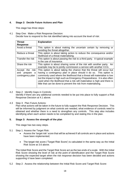# **4. Stage 2: Decide Future Actions and Plan**

This stage has three steps:

4.1 Step One: Make a Risk Response Decision: Decide how to respond to the risk identified taking into account the level of risk:

| <b>Threat</b>                                              | <b>Explanation</b>                                                                                                                                                                                                                                                                                                                                                                                                                                  |
|------------------------------------------------------------|-----------------------------------------------------------------------------------------------------------------------------------------------------------------------------------------------------------------------------------------------------------------------------------------------------------------------------------------------------------------------------------------------------------------------------------------------------|
| <b>Response</b>                                            |                                                                                                                                                                                                                                                                                                                                                                                                                                                     |
| Avoid a threat                                             | This option is about making the uncertain certain by removing or                                                                                                                                                                                                                                                                                                                                                                                    |
|                                                            | avoiding the threat altogether.                                                                                                                                                                                                                                                                                                                                                                                                                     |
| Reduce a threat                                            | This option is about taking action to reduce the consequence and/or                                                                                                                                                                                                                                                                                                                                                                                 |
|                                                            | likelihood of a threat materialising.                                                                                                                                                                                                                                                                                                                                                                                                               |
| Transfer the risk                                          | This option is about passing the risk to a third party. A typical example                                                                                                                                                                                                                                                                                                                                                                           |
|                                                            | is the use of insurance.                                                                                                                                                                                                                                                                                                                                                                                                                            |
| Share the risk                                             | This option is about sharing some of the risk with another party. An<br>example may be to jointly commission a service with another CCG.                                                                                                                                                                                                                                                                                                            |
| Accept the risk<br>and<br>prepare<br>a<br>contingency plan | This option is about taking the chance that the threat will occur but<br>having a contingency plan in place should it do so. This option is<br>commonly used where the likelihood that a threat will materialise is low<br>but the impact is high such as Emergency Preparedness. It is also often<br>used when the likelihood that a risk will materialise is high and there is<br>little that can be done to prevent the risk from materialising. |

- 4.2 Step 2: Identify Gaps in Controls: Identify if there are any additional controls needed to be put into place to fully support a Risk Response Decision at 4.1 above.
- 4.3 Step 3: Plan Future Actions:

Plan what actions will be taken in the future to fully support the Risk Response Decision. This will be informed by judgment on what controls are needed, what evidence of controls need to obtained and whether there is a need to strengthen any controls. This step also includes identifying when each action needs to be completed by and stating this in the plan.

# **5. Stage 3: Assess the strength of the plan**

This stage has two easy steps.

- 5.1 Step 1: Assess the Target Risk:
	- Assess the 'target risk' score that will be achieved if all controls are in place and actions have been implemented;
	- The target risk score ('Target Risk Score') is calculated in the same way as the Initial Risk Score at 3.6 above.

The Initial Risk Score and the Target Risk Score act as the two ends of a scale. With the Initial Risk Score showing the level of risk at the point of identification and the Target Risk Score showing the expected target when the risk response decision has been decided and actions supporting it have been completed.

5.2 Step 2: Assess the relationship between the Initial Risk Score and Target Risk Score: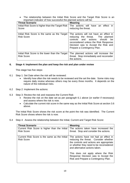• The relationship between the Initial Risk Score and the Target Risk Score is an important indicator of how successful the planned actions will be:

| <b>Threat Scenario</b>                                               | <b>Meaning</b>                                                                                                                                                                                                                 |
|----------------------------------------------------------------------|--------------------------------------------------------------------------------------------------------------------------------------------------------------------------------------------------------------------------------|
| Initial Risk Score is higher than the Target Risk<br>Score           | The actions will have an effect in<br>reducing the threat.                                                                                                                                                                     |
| Initial Risk Score is the same as the Target<br><b>Risk Score</b>    | The actions will not have an effect in<br>reducing the threat. The planned<br>controls and actions should<br>be<br>reconsidered unless the Risk Response<br>Decision was to Accept the Risk and<br>Prepare a Contingency Plan. |
| Initial Risk Score is the lower than the Target<br><b>Risk Score</b> | The planned actions will increase the<br>threat. Stop immediately and reconsider<br>the actions.                                                                                                                               |

#### **6. Stage 4: Implement the plan and keep the risk and plan under review**

This stage has five steps:

- 6.1 Step 1: Set Date when the risk will be reviewed:
	- $\bullet$  Identify how often the risk needs to be reviewed and the set the date. Some risks may require daily review whereas others may be every three months. It depends on the nature of the individual risks.
- 6.2 Step 2: Implement the actions:
- 6.3 Step 3: Review the risk and reassess the Current Risk:
	- Review the risk on the date set as per paragraph 6.1 above (or earlier if necessary) and assess where the risk is now.
	- Calculate the current risk score in the same way as the Initial Risk Score at section 3.6 above.

The Initial Risk Score shows the risk score at the point the risk was identified. The Current Risk Score shows where the risk is now.

6.4 Step 4: Assess the relationship between the Initial, Current and Target Risk Score:

| <b>Threat Scenario</b>                                             | <b>Meaning</b>                                                                                                                                                                                                                                                                                                               |  |
|--------------------------------------------------------------------|------------------------------------------------------------------------------------------------------------------------------------------------------------------------------------------------------------------------------------------------------------------------------------------------------------------------------|--|
| Current Risk Score is higher than the Initial<br><b>Risk Score</b> | The actions taken have increased the<br>threat. Stop and consider the actions.                                                                                                                                                                                                                                               |  |
| Current Risk Score is the same as the Initial<br><b>Risk Score</b> | The actions have not had an effect in<br>reducing the threat. Consider whether<br>the controls and actions are appropriate<br>or whether they need to be reconsidered<br>and alternative actions taken.<br>This does not apply where the Risk<br>Response Decision was to Accept the<br>Risk and Prepare a Contingency Plan. |  |
|                                                                    |                                                                                                                                                                                                                                                                                                                              |  |